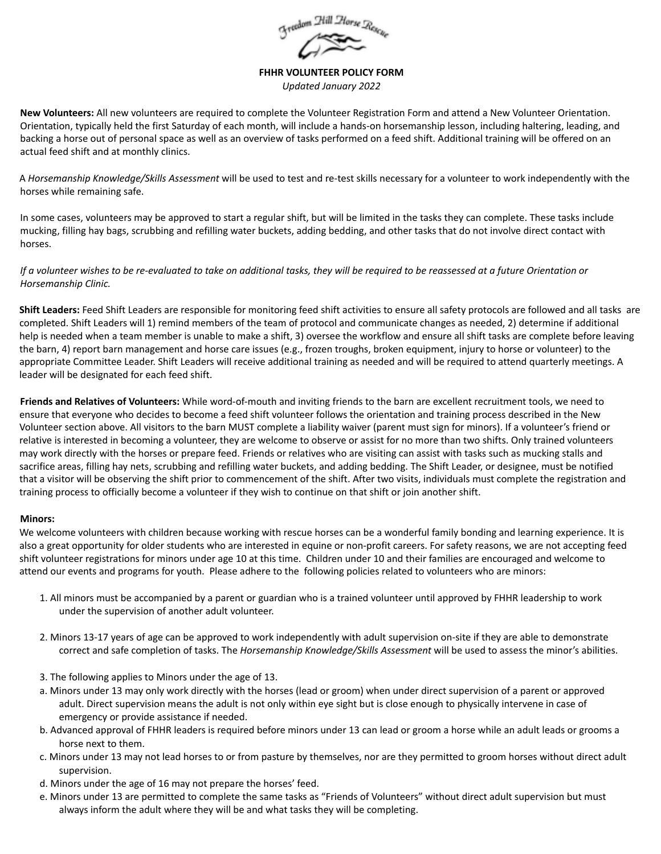

**FHHR VOLUNTEER POLICY FORM**

*Updated January 2022*

**New Volunteers:** All new volunteers are required to complete the Volunteer Registration Form and attend a New Volunteer Orientation. Orientation, typically held the first Saturday of each month, will include a hands-on horsemanship lesson, including haltering, leading, and backing a horse out of personal space as well as an overview of tasks performed on a feed shift. Additional training will be offered on an actual feed shift and at monthly clinics.

A *Horsemanship Knowledge/Skills Assessment* will be used to test and re-test skills necessary for a volunteer to work independently with the horses while remaining safe.

In some cases, volunteers may be approved to start a regular shift, but will be limited in the tasks they can complete. These tasks include mucking, filling hay bags, scrubbing and refilling water buckets, adding bedding, and other tasks that do not involve direct contact with horses.

## If a volunteer wishes to be re-evaluated to take on additional tasks, they will be required to be reassessed at a future Orientation or *Horsemanship Clinic.*

**Shift Leaders:** Feed Shift Leaders are responsible for monitoring feed shift activities to ensure all safety protocols are followed and all tasks are completed. Shift Leaders will 1) remind members of the team of protocol and communicate changes as needed, 2) determine if additional help is needed when a team member is unable to make a shift, 3) oversee the workflow and ensure all shift tasks are complete before leaving the barn, 4) report barn management and horse care issues (e.g., frozen troughs, broken equipment, injury to horse or volunteer) to the appropriate Committee Leader. Shift Leaders will receive additional training as needed and will be required to attend quarterly meetings. A leader will be designated for each feed shift.

**Friends and Relatives of Volunteers:** While word-of-mouth and inviting friends to the barn are excellent recruitment tools, we need to ensure that everyone who decides to become a feed shift volunteer follows the orientation and training process described in the New Volunteer section above. All visitors to the barn MUST complete a liability waiver (parent must sign for minors). If a volunteer's friend or relative is interested in becoming a volunteer, they are welcome to observe or assist for no more than two shifts. Only trained volunteers may work directly with the horses or prepare feed. Friends or relatives who are visiting can assist with tasks such as mucking stalls and sacrifice areas, filling hay nets, scrubbing and refilling water buckets, and adding bedding. The Shift Leader, or designee, must be notified that a visitor will be observing the shift prior to commencement of the shift. After two visits, individuals must complete the registration and training process to officially become a volunteer if they wish to continue on that shift or join another shift.

## **Minors:**

We welcome volunteers with children because working with rescue horses can be a wonderful family bonding and learning experience. It is also a great opportunity for older students who are interested in equine or non-profit careers. For safety reasons, we are not accepting feed shift volunteer registrations for minors under age 10 at this time. Children under 10 and their families are encouraged and welcome to attend our events and programs for youth. Please adhere to the following policies related to volunteers who are minors:

- 1. All minors must be accompanied by a parent or guardian who is a trained volunteer until approved by FHHR leadership to work under the supervision of another adult volunteer.
- 2. Minors 13-17 years of age can be approved to work independently with adult supervision on-site if they are able to demonstrate correct and safe completion of tasks. The *Horsemanship Knowledge/Skills Assessment* will be used to assess the minor's abilities.
- 3. The following applies to Minors under the age of 13.
- a. Minors under 13 may only work directly with the horses (lead or groom) when under direct supervision of a parent or approved adult. Direct supervision means the adult is not only within eye sight but is close enough to physically intervene in case of emergency or provide assistance if needed.
- b. Advanced approval of FHHR leaders is required before minors under 13 can lead or groom a horse while an adult leads or grooms a horse next to them.
- c. Minors under 13 may not lead horses to or from pasture by themselves, nor are they permitted to groom horses without direct adult supervision.
- d. Minors under the age of 16 may not prepare the horses' feed.
- e. Minors under 13 are permitted to complete the same tasks as "Friends of Volunteers" without direct adult supervision but must always inform the adult where they will be and what tasks they will be completing.